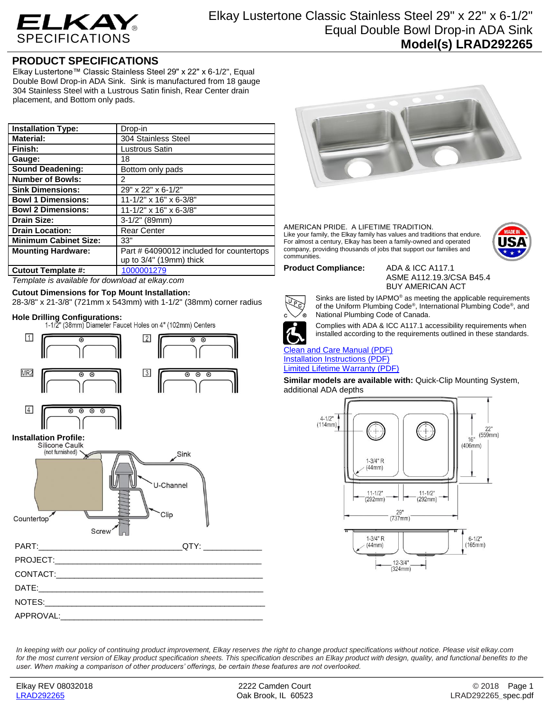

## **PRODUCT SPECIFICATIONS**

Elkay Lustertone™ Classic Stainless Steel 29" x 22" x 6-1/2", Equal Double Bowl Drop-in ADA Sink. Sink is manufactured from 18 gauge 304 Stainless Steel with a Lustrous Satin finish, Rear Center drain placement, and Bottom only pads.

| <b>Installation Type:</b>    | Drop-in                                  |
|------------------------------|------------------------------------------|
| <b>Material:</b>             | 304 Stainless Steel                      |
| Finish:                      | Lustrous Satin                           |
| Gauge:                       | 18                                       |
| <b>Sound Deadening:</b>      | Bottom only pads                         |
| <b>Number of Bowls:</b>      | 2                                        |
| <b>Sink Dimensions:</b>      | 29" x 22" x 6-1/2"                       |
| <b>Bowl 1 Dimensions:</b>    | $11 - 1/2$ " x 16" x 6-3/8"              |
| <b>Bowl 2 Dimensions:</b>    | $11 - 1/2$ " x 16" x 6-3/8"              |
| <b>Drain Size:</b>           | $3-1/2"$ (89mm)                          |
| <b>Drain Location:</b>       | <b>Rear Center</b>                       |
| <b>Minimum Cabinet Size:</b> | 33"                                      |
| <b>Mounting Hardware:</b>    | Part # 64090012 included for countertops |
|                              | up to 3/4" (19mm) thick                  |
| <b>Cutout Template #:</b>    | 1000001279                               |

*Template is available for download at elkay.com*

### **Cutout Dimensions for Top Mount Installation:**

28-3/8" x 21-3/8" (721mm x 543mm) with 1-1/2" (38mm) corner radius

**Hole Drilling Configurations:**





AMERICAN PRIDE. A LIFETIME TRADITION. Like your family, the Elkay family has values and traditions that endure. For almost a century, Elkay has been a family-owned and operated company, providing thousands of jobs that support our families and communities.



**Product Compliance:** ADA & ICC A117.1

ASME A112.19.3/CSA B45.4 BUY AMERICAN ACT



Sinks are listed by IAPMO® as meeting the applicable requirements of the Uniform Plumbing Code®, International Plumbing Code®, and National Plumbing Code of Canada.



Complies with ADA & ICC A117.1 accessibility requirements when installed according to the requirements outlined in these standards.

## [Clean and Care Manual \(PDF\)](http://www.elkay.com/wcsstore/lkdocs/care-cleaning-install-warranty-sheets/residential%20and%20commercial%20care%20%20cleaning.pdf) [Installation Instructions \(PDF\)](http://www.elkay.com/wcsstore/lkdocs/care-cleaning-install-warranty-sheets/74180147.pdf)

[Limited Lifetime Warranty](http://www.elkay.com/wcsstore/lkdocs/care-cleaning-install-warranty-sheets/residential%20sinks%20warranty.pdf) (PDF)

**Similar models are available with:** Quick-Clip Mounting System, additional ADA depths



*In keeping with our policy of continuing product improvement, Elkay reserves the right to change product specifications without notice. Please visit elkay.com*  for the most current version of Elkay product specification sheets. This specification describes an Elkay product with design, quality, and functional benefits to the *user. When making a comparison of other producers' offerings, be certain these features are not overlooked.*